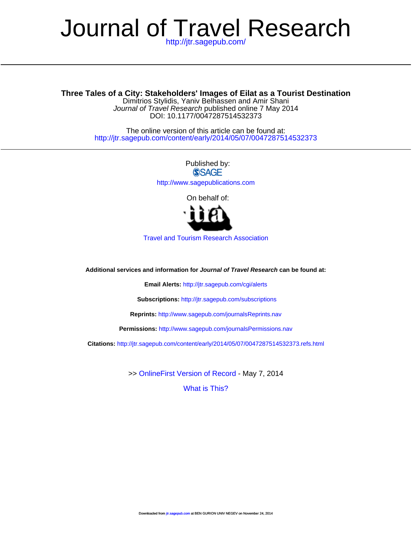# <http://jtr.sagepub.com/> Journal of Travel Research

## **Three Tales of a City: Stakeholders' Images of Eilat as a Tourist Destination**

DOI: 10.1177/0047287514532373 Journal of Travel Research published online 7 May 2014 Dimitrios Stylidis, Yaniv Belhassen and Amir Shani

<http://jtr.sagepub.com/content/early/2014/05/07/0047287514532373> The online version of this article can be found at:

> Published by:<br>
> SAGE <http://www.sagepublications.com> On behalf of:



[Travel and Tourism Research Association](http://www.ttra.com)

**Additional services and information for Journal of Travel Research can be found at:**

**Email Alerts:** <http://jtr.sagepub.com/cgi/alerts>

**Subscriptions:** <http://jtr.sagepub.com/subscriptions>

**Reprints:** <http://www.sagepub.com/journalsReprints.nav>

**Permissions:** <http://www.sagepub.com/journalsPermissions.nav>

**Citations:** <http://jtr.sagepub.com/content/early/2014/05/07/0047287514532373.refs.html>

>> [OnlineFirst Version of Record -](http://jtr.sagepub.com/content/early/2014/05/07/0047287514532373.full.pdf) May 7, 2014

[What is This?](http://online.sagepub.com/site/sphelp/vorhelp.xhtml)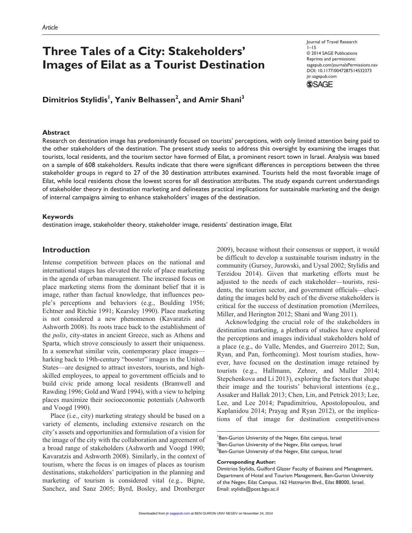## **Three Tales of a City: Stakeholders' Images of Eilat as a Tourist Destination**

Journal of Travel Research  $1 - 15$ © 2014 SAGE Publications Reprints and permissions: sagepub.com/journalsPermissions.nav DOI: 10.1177/0047287514532373 jtr.sagepub.com



**Dimitrios Stylidis1 , Yaniv Belhassen2 , and Amir Shani3**

#### **Abstract**

Research on destination image has predominantly focused on tourists' perceptions, with only limited attention being paid to the other stakeholders of the destination. The present study seeks to address this oversight by examining the images that tourists, local residents, and the tourism sector have formed of Eilat, a prominent resort town in Israel. Analysis was based on a sample of 608 stakeholders. Results indicate that there were significant differences in perceptions between the three stakeholder groups in regard to 27 of the 30 destination attributes examined. Tourists held the most favorable image of Eilat, while local residents chose the lowest scores for all destination attributes. The study expands current understandings of stakeholder theory in destination marketing and delineates practical implications for sustainable marketing and the design of internal campaigns aiming to enhance stakeholders' images of the destination.

#### **Keywords**

destination image, stakeholder theory, stakeholder image, residents' destination image, Eilat

#### **Introduction**

Intense competition between places on the national and international stages has elevated the role of place marketing in the agenda of urban management. The increased focus on place marketing stems from the dominant belief that it is image, rather than factual knowledge, that influences people's perceptions and behaviors (e.g., Boulding 1956; Echtner and Ritchie 1991; Kearsley 1990). Place marketing is not considered a new phenomenon (Kavaratzis and Ashworth 2008). Its roots trace back to the establishment of the *polis*, city-states in ancient Greece, such as Athens and Sparta, which strove consciously to assert their uniqueness. In a somewhat similar vein, contemporary place images harking back to 19th-century "booster" images in the United States—are designed to attract investors, tourists, and highskilled employees, to appeal to government officials and to build civic pride among local residents (Bramwell and Rawding 1996; Gold and Ward 1994), with a view to helping places maximize their socioeconomic potentials (Ashworth and Voogd 1990).

Place (i.e., city) marketing strategy should be based on a variety of elements, including extensive research on the city's assets and opportunities and formulation of a vision for the image of the city with the collaboration and agreement of a broad range of stakeholders (Ashworth and Voogd 1990; Kavaratzis and Ashworth 2008). Similarly, in the context of tourism, where the focus is on images of places as tourism destinations, stakeholders' participation in the planning and marketing of tourism is considered vital (e.g., Bigne, Sanchez, and Sanz 2005; Byrd, Bosley, and Dronberger 2009), because without their consensus or support, it would be difficult to develop a sustainable tourism industry in the community (Gursoy, Jurowski, and Uysal 2002; Stylidis and Terzidou 2014). Given that marketing efforts must be adjusted to the needs of each stakeholder—tourists, residents, the tourism sector, and government officials—elucidating the images held by each of the diverse stakeholders is critical for the success of destination promotion (Merrilees, Miller, and Herington 2012; Shani and Wang 2011).

Acknowledging the crucial role of the stakeholders in destination marketing, a plethora of studies have explored the perceptions and images individual stakeholders hold of a place (e.g., do Valle, Mendes, and Guerreiro 2012; Sun, Ryan, and Pan, forthcoming). Most tourism studies, however, have focused on the destination image retained by tourists (e.g., Hallmann, Zehrer, and Muller 2014; Stepchenkova and Li 2013), exploring the factors that shape their image and the tourists' behavioral intentions (e.g., Assaker and Hallak 2013; Chen, Lin, and Petrick 2013; Lee, Lee, and Lee 2014; Papadimitriou, Apostolopoulou, and Kaplanidou 2014; Prayag and Ryan 2012), or the implications of that image for destination competitiveness

#### **Corresponding Author:**

<sup>&</sup>lt;sup>1</sup>Ben-Gurion University of the Negev, Eilat campus, Israel  $^2$ Ben-Gurion University of the Negev, Eilat campus, Israel  $^3$ Ben-Gurion University of the Negev, Eilat campus, Israel

Dimitrios Stylidis, Guilford Glazer Faculty of Business and Management, Department of Hotel and Tourism Management, Ben-Gurion University of the Negev, Eilat Campus, 162 Hatmarim Blvd., Eilat 88000, Israel. Email: stylidis@post.bgu.ac.il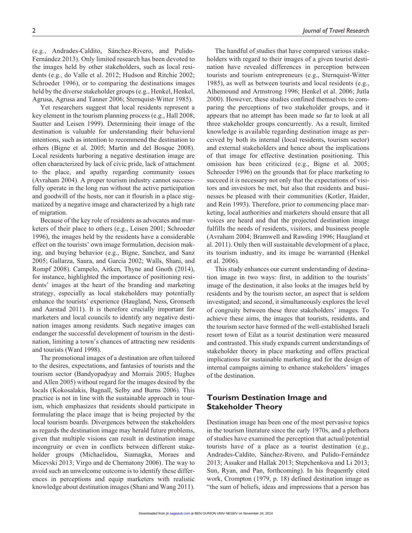(e.g., Andrades-Caldito, Sánchez-Rivero, and Pulido-Fernández 2013). Only limited research has been devoted to the images held by other stakeholders, such as local residents (e.g., do Valle et al. 2012; Hudson and Ritchie 2002; Schroeder 1996), or to comparing the destinations images held by the diverse stakeholder groups (e.g., Henkel, Henkel, Agrusa, Agrusa and Tanner 2006; Sternquist-Witter 1985).

Yet researchers suggest that local residents represent a key element in the tourism planning process (e.g., Hall 2008; Sautter and Leisen 1999). Determining their image of the destination is valuable for understanding their behavioral intentions, such as intention to recommend the destination to others (Bigne et al. 2005; Martin and del Bosque 2008). Local residents harboring a negative destination image are often characterized by lack of civic pride, lack of attachment to the place, and apathy regarding community issues (Avraham 2004). A proper tourism industry cannot successfully operate in the long run without the active participation and goodwill of the hosts, nor can it flourish in a place stigmatized by a negative image and characterized by a high rate of migration.

Because of the key role of residents as advocates and marketers of their place to others (e.g., Leisen 2001; Schroeder 1996), the images held by the residents have a considerable effect on the tourists' own image formulation, decision making, and buying behavior (e.g., Bigne, Sanchez, and Sanz 2005; Gallarza, Saura, and Garcia 2002; Walls, Shani, and Rompf 2008). Campelo, Aitken, Thyne and Gnoth (2014), for instance, highlighted the importance of positioning residents' images at the heart of the branding and marketing strategy, especially as local stakeholders may potentially enhance the tourists' experience (Haugland, Ness, Gronseth and Aarstad 2011). It is therefore crucially important for marketers and local councils to identify any negative destination images among residents. Such negative images can endanger the successful development of tourism in the destination, limiting a town's chances of attracting new residents and tourists (Ward 1998).

The promotional images of a destination are often tailored to the desires, expectations, and fantasies of tourists and the tourism sector (Bandyopadyay and Morrais 2005; Hughes and Allen 2005) without regard for the images desired by the locals (Kokosalakis, Bagnall, Selby and Burns 2006). This practice is not in line with the sustainable approach in tourism, which emphasizes that residents should participate in formulating the place image that is being projected by the local tourism boards. Divergences between the stakeholders as regards the destination image may herald future problems, given that multiple visions can result in destination image incongruity or even in conflicts between different stakeholder groups (Michaelidou, Siamagka, Moraes and Micevski 2013; Virgo and de Chernatony 2006). The way to avoid such an unwelcome outcome is to identify these differences in perceptions and equip marketers with realistic knowledge about destination images (Shani and Wang 2011).

The handful of studies that have compared various stakeholders with regard to their images of a given tourist destination have revealed differences in perception between tourists and tourism entrepreneurs (e.g., Sternquist-Witter 1985), as well as between tourists and local residents (e.g., Alhemound and Armstrong 1996; Henkel et al. 2006; Jutla 2000). However, these studies confined themselves to comparing the perceptions of two stakeholder groups, and it appears that no attempt has been made so far to look at all three stakeholder groups concurrently. As a result, limited knowledge is available regarding destination image as perceived by both its internal (local residents, tourism sector) and external stakeholders and hence about the implications of that image for effective destination positioning. This omission has been criticized (e.g., Bigne et al. 2005; Schroeder 1996) on the grounds that for place marketing to succeed it is necessary not only that the expectations of visitors and investors be met, but also that residents and businesses be pleased with their communities (Kotler, Haider, and Rein 1993). Therefore, prior to commencing place marketing, local authorities and marketers should ensure that all voices are heard and that the projected destination image fulfills the needs of residents, visitors, and business people (Avraham 2004; Bramwell and Rawding 1996; Haugland et al. 2011). Only then will sustainable development of a place, its tourism industry, and its image be warranted (Henkel et al. 2006).

This study enhances our current understanding of destination image in two ways: first, in addition to the tourists' image of the destination, it also looks at the images held by residents and by the tourism sector, an aspect that is seldom investigated; and second, it simultaneously explores the level of congruity between these three stakeholders' images. To achieve these aims, the images that tourists, residents, and the tourism sector have formed of the well-established Israeli resort town of Eilat as a tourist destination were measured and contrasted. This study expands current understandings of stakeholder theory in place marketing and offers practical implications for sustainable marketing and for the design of internal campaigns aiming to enhance stakeholders' images of the destination.

## **Tourism Destination Image and Stakeholder Theory**

Destination image has been one of the most pervasive topics in the tourism literature since the early 1970s, and a plethora of studies have examined the perception that actual/potential tourists have of a place as a tourist destination (e.g., Andrades-Caldito, Sánchez-Rivero, and Pulido-Fernández 2013; Assaker and Hallak 2013; Stepchenkova and Li 2013; Sun, Ryan, and Pan, forthcoming). In his frequently cited work, Crompton (1979, p. 18) defined destination image as "the sum of beliefs, ideas and impressions that a person has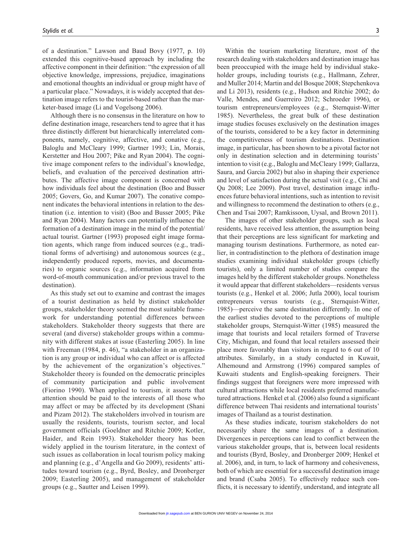of a destination." Lawson and Baud Bovy (1977, p. 10) extended this cognitive-based approach by including the affective component in their definition: "the expression of all objective knowledge, impressions, prejudice, imaginations and emotional thoughts an individual or group might have of a particular place." Nowadays, it is widely accepted that destination image refers to the tourist-based rather than the marketer-based image (Li and Vogelsong 2006).

Although there is no consensus in the literature on how to define destination image, researchers tend to agree that it has three distinctly different but hierarchically interrelated components, namely, cognitive, affective, and conative (e.g., Baloglu and McCleary 1999; Gartner 1993; Lin, Morais, Kerstetter and Hou 2007; Pike and Ryan 2004). The cognitive image component refers to the individual's knowledge, beliefs, and evaluation of the perceived destination attributes. The affective image component is concerned with how individuals feel about the destination (Boo and Busser 2005; Govers, Go, and Kumar 2007). The conative component indicates the behavioral intentions in relation to the destination (i.e. intention to visit) (Boo and Busser 2005; Pike and Ryan 2004). Many factors can potentially influence the formation of a destination image in the mind of the potential/ actual tourist. Gartner (1993) proposed eight image formation agents, which range from induced sources (e.g., traditional forms of advertising) and autonomous sources (e.g., independently produced reports, movies, and documentaries) to organic sources (e.g., information acquired from word-of-mouth communication and/or previous travel to the destination).

As this study set out to examine and contrast the images of a tourist destination as held by distinct stakeholder groups, stakeholder theory seemed the most suitable framework for understanding potential differences between stakeholders. Stakeholder theory suggests that there are several (and diverse) stakeholder groups within a community with different stakes at issue (Easterling 2005). In line with Freeman (1984, p. 46), "a stakeholder in an organization is any group or individual who can affect or is affected by the achievement of the organization's objectives." Stakeholder theory is founded on the democratic principles of community participation and public involvement (Fiorino 1990). When applied to tourism, it asserts that attention should be paid to the interests of all those who may affect or may be affected by its development (Shani and Pizam 2012). The stakeholders involved in tourism are usually the residents, tourists, tourism sector, and local government officials (Goeldner and Ritchie 2009; Kotler, Haider, and Rein 1993). Stakeholder theory has been widely applied in the tourism literature, in the context of such issues as collaboration in local tourism policy making and planning (e.g., d'Angella and Go 2009), residents' attitudes toward tourism (e.g., Byrd, Bosley, and Dronberger 2009; Easterling 2005), and management of stakeholder groups (e.g., Sautter and Leisen 1999).

Within the tourism marketing literature, most of the research dealing with stakeholders and destination image has been preoccupied with the image held by individual stakeholder groups, including tourists (e.g., Hallmann, Zehrer, and Muller 2014; Martin and del Bosque 2008; Stepchenkova and Li 2013), residents (e.g., Hudson and Ritchie 2002; do Valle, Mendes, and Guerreiro 2012; Schroeder 1996), or tourism entrepreneurs/employees (e.g., Sternquist-Witter 1985). Nevertheless, the great bulk of these destination image studies focuses exclusively on the destination images of the tourists, considered to be a key factor in determining the competitiveness of tourism destinations. Destination image, in particular, has been shown to be a pivotal factor not only in destination selection and in determining tourists' intention to visit (e.g., Baloglu and McCleary 1999; Gallarza, Saura, and Garcia 2002) but also in shaping their experience and level of satisfaction during the actual visit (e.g., Chi and Qu 2008; Lee 2009). Post travel, destination image influences future behavioral intentions, such as intention to revisit and willingness to recommend the destination to others (e.g., Chen and Tsai 2007; Ramkissoon, Uysal, and Brown 2011).

The images of other stakeholder groups, such as local residents, have received less attention, the assumption being that their perceptions are less significant for marketing and managing tourism destinations. Furthermore, as noted earlier, in contradistinction to the plethora of destination image studies examining individual stakeholder groups (chiefly tourists), only a limited number of studies compare the images held by the different stakeholder groups. Nonetheless it would appear that different stakeholders—residents versus tourists (e.g., Henkel et al. 2006; Jutla 2000), local tourism entrepreneurs versus tourists (e.g., Sternquist-Witter, 1985)—perceive the same destination differently. In one of the earliest studies devoted to the perceptions of multiple stakeholder groups, Sternquist-Witter (1985) measured the image that tourists and local retailers formed of Traverse City, Michigan, and found that local retailers assessed their place more favorably than visitors in regard to 6 out of 10 attributes. Similarly, in a study conducted in Kuwait, Alhemound and Armstrong (1996) compared samples of Kuwaiti students and English-speaking foreigners. Their findings suggest that foreigners were more impressed with cultural attractions while local residents preferred manufactured attractions. Henkel et al. (2006) also found a significant difference between Thai residents and international tourists' images of Thailand as a tourist destination.

As these studies indicate, tourism stakeholders do not necessarily share the same images of a destination. Divergences in perceptions can lead to conflict between the various stakeholder groups, that is, between local residents and tourists (Byrd, Bosley, and Dronberger 2009; Henkel et al. 2006), and, in turn, to lack of harmony and cohesiveness, both of which are essential for a successful destination image and brand (Csaba 2005). To effectively reduce such conflicts, it is necessary to identify, understand, and integrate all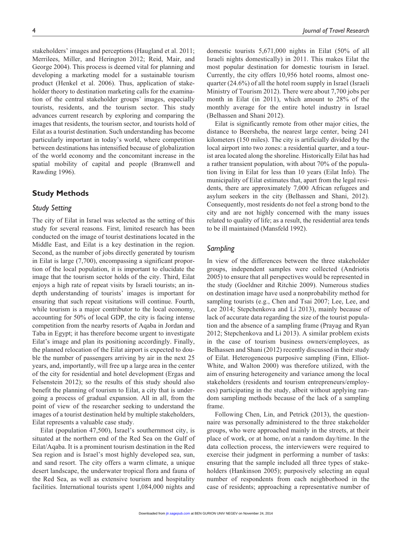stakeholders' images and perceptions (Haugland et al. 2011; Merrilees, Miller, and Herington 2012; Reid, Mair, and George 2004). This process is deemed vital for planning and developing a marketing model for a sustainable tourism product (Henkel et al. 2006). Thus, application of stakeholder theory to destination marketing calls for the examination of the central stakeholder groups' images, especially tourists, residents, and the tourism sector. This study advances current research by exploring and comparing the images that residents, the tourism sector, and tourists hold of Eilat as a tourist destination. Such understanding has become particularly important in today's world, where competition between destinations has intensified because of globalization of the world economy and the concomitant increase in the spatial mobility of capital and people (Bramwell and Rawding 1996).

#### **Study Methods**

#### *Study Setting*

The city of Eilat in Israel was selected as the setting of this study for several reasons. First, limited research has been conducted on the image of tourist destinations located in the Middle East, and Eilat is a key destination in the region. Second, as the number of jobs directly generated by tourism in Eilat is large (7,700), encompassing a significant proportion of the local population, it is important to elucidate the image that the tourism sector holds of the city. Third, Eilat enjoys a high rate of repeat visits by Israeli tourists; an indepth understanding of tourists' images is important for ensuring that such repeat visitations will continue. Fourth, while tourism is a major contributor to the local economy, accounting for 50% of local GDP, the city is facing intense competition from the nearby resorts of Aqaba in Jordan and Taba in Egypt; it has therefore become urgent to investigate Eilat's image and plan its positioning accordingly. Finally, the planned relocation of the Eilat airport is expected to double the number of passengers arriving by air in the next 25 years, and, importantly, will free up a large area in the center of the city for residential and hotel development (Ergas and Felsenstein 2012); so the results of this study should also benefit the planning of tourism to Eilat, a city that is undergoing a process of gradual expansion. All in all, from the point of view of the researcher seeking to understand the images of a tourist destination held by multiple stakeholders, Eilat represents a valuable case study.

Eilat (population 47,500), Israel's southernmost city, is situated at the northern end of the Red Sea on the Gulf of Eilat/Aqaba. It is a prominent tourism destination in the Red Sea region and is Israel's most highly developed sea, sun, and sand resort. The city offers a warm climate, a unique desert landscape, the underwater tropical flora and fauna of the Red Sea, as well as extensive tourism and hospitality facilities. International tourists spent 1,084,000 nights and

domestic tourists 5,671,000 nights in Eilat (50% of all Israeli nights domestically) in 2011. This makes Eilat the most popular destination for domestic tourism in Israel. Currently, the city offers 10,956 hotel rooms, almost onequarter (24.6%) of all the hotel room supply in Israel (Israeli Ministry of Tourism 2012). There were about 7,700 jobs per month in Eilat (in 2011), which amount to 28% of the monthly average for the entire hotel industry in Israel (Belhassen and Shani 2012).

Eilat is significantly remote from other major cities, the distance to Beersheba, the nearest large center, being 241 kilometers (150 miles). The city is artificially divided by the local airport into two zones: a residential quarter, and a tourist area located along the shoreline. Historically Eilat has had a rather transient population, with about 70% of the population living in Eilat for less than 10 years (Eilat Info). The municipality of Eilat estimates that, apart from the legal residents, there are approximately 7,000 African refugees and asylum seekers in the city (Belhassen and Shani, 2012). Consequently, most residents do not feel a strong bond to the city and are not highly concerned with the many issues related to quality of life; as a result, the residential area tends to be ill maintained (Mansfeld 1992).

### *Sampling*

In view of the differences between the three stakeholder groups, independent samples were collected (Andriotis 2005) to ensure that all perspectives would be represented in the study (Goeldner and Ritchie 2009). Numerous studies on destination image have used a nonprobability method for sampling tourists (e.g., Chen and Tsai 2007; Lee, Lee, and Lee 2014; Stepchenkova and Li 2013), mainly because of lack of accurate data regarding the size of the tourist population and the absence of a sampling frame (Prayag and Ryan 2012; Stepchenkova and Li 2013). A similar problem exists in the case of tourism business owners/employees, as Belhassen and Shani (2012) recently discussed in their study of Eilat. Heterogeneous purposive sampling (Finn, Elliot-White, and Walton 2000) was therefore utilized, with the aim of ensuring heterogeneity and variance among the local stakeholders (residents and tourism entrepreneurs/employees) participating in the study, albeit without applying random sampling methods because of the lack of a sampling frame.

Following Chen, Lin, and Petrick (2013), the questionnaire was personally administered to the three stakeholder groups, who were approached mainly in the streets, at their place of work, or at home, on/at a random day/time. In the data collection process, the interviewers were required to exercise their judgment in performing a number of tasks: ensuring that the sample included all three types of stakeholders (Hankinson 2005); purposively selecting an equal number of respondents from each neighborhood in the case of residents; approaching a representative number of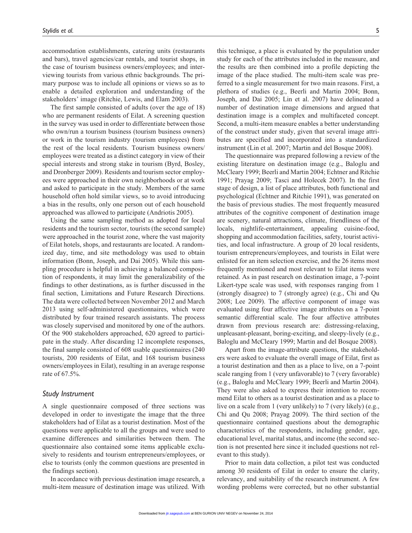accommodation establishments, catering units (restaurants and bars), travel agencies/car rentals, and tourist shops, in the case of tourism business owners/employees; and interviewing tourists from various ethnic backgrounds. The primary purpose was to include all opinions or views so as to enable a detailed exploration and understanding of the stakeholders' image (Ritchie, Lewis, and Elam 2003).

The first sample consisted of adults (over the age of 18) who are permanent residents of Eilat. A screening question in the survey was used in order to differentiate between those who own/run a tourism business (tourism business owners) or work in the tourism industry (tourism employees) from the rest of the local residents. Tourism business owners/ employees were treated as a distinct category in view of their special interests and strong stake in tourism (Byrd, Bosley, and Dronberger 2009). Residents and tourism sector employees were approached in their own neighborhoods or at work and asked to participate in the study. Members of the same household often hold similar views, so to avoid introducing a bias in the results, only one person out of each household approached was allowed to participate (Andriotis 2005).

Using the same sampling method as adopted for local residents and the tourism sector, tourists (the second sample) were approached in the tourist zone, where the vast majority of Eilat hotels, shops, and restaurants are located. A randomized day, time, and site methodology was used to obtain information (Bonn, Joseph, and Dai 2005). While this sampling procedure is helpful in achieving a balanced composition of respondents, it may limit the generalizability of the findings to other destinations, as is further discussed in the final section, Limitations and Future Research Directions. The data were collected between November 2012 and March 2013 using self-administered questionnaires, which were distributed by four trained research assistants. The process was closely supervised and monitored by one of the authors. Of the 900 stakeholders approached, 620 agreed to participate in the study. After discarding 12 incomplete responses, the final sample consisted of 608 usable questionnaires (240 tourists, 200 residents of Eilat, and 168 tourism business owners/employees in Eilat), resulting in an average response rate of 67.5%.

#### *Study Instrument*

A single questionnaire composed of three sections was developed in order to investigate the image that the three stakeholders had of Eilat as a tourist destination. Most of the questions were applicable to all the groups and were used to examine differences and similarities between them. The questionnaire also contained some items applicable exclusively to residents and tourism entrepreneurs/employees, or else to tourists (only the common questions are presented in the findings section).

In accordance with previous destination image research, a multi-item measure of destination image was utilized. With

this technique, a place is evaluated by the population under study for each of the attributes included in the measure, and the results are then combined into a profile depicting the image of the place studied. The multi-item scale was preferred to a single measurement for two main reasons. First, a plethora of studies (e.g., Beerli and Martin 2004; Bonn, Joseph, and Dai 2005; Lin et al. 2007) have delineated a number of destination image dimensions and argued that destination image is a complex and multifaceted concept. Second, a multi-item measure enables a better understanding of the construct under study, given that several image attributes are specified and incorporated into a standardized instrument (Lin et al. 2007; Martin and del Bosque 2008).

The questionnaire was prepared following a review of the existing literature on destination image (e.g., Baloglu and McCleary 1999; Beerli and Martin 2004; Echtner and Ritchie 1991; Prayag 2009; Tasci and Holecek 2007). In the first stage of design, a list of place attributes, both functional and psychological (Echtner and Ritchie 1991), was generated on the basis of previous studies. The most frequently measured attributes of the cognitive component of destination image are scenery, natural attractions, climate, friendliness of the locals, nightlife-entertainment, appealing cuisine-food, shopping and accommodation facilities, safety, tourist activities, and local infrastructure. A group of 20 local residents, tourism entrepreneurs/employees, and tourists in Eilat were enlisted for an item selection exercise, and the 26 items most frequently mentioned and most relevant to Eilat items were retained. As in past research on destination image, a 7-point Likert-type scale was used, with responses ranging from 1 (strongly disagree) to 7 (strongly agree) (e.g., Chi and Qu 2008; Lee 2009). The affective component of image was evaluated using four affective image attributes on a 7-point semantic differential scale. The four affective attributes drawn from previous research are: distressing-relaxing, unpleasant-pleasant, boring-exciting, and sleepy-lively (e.g., Baloglu and McCleary 1999; Martin and del Bosque 2008).

Apart from the image-attribute questions, the stakeholders were asked to evaluate the overall image of Eilat, first as a tourist destination and then as a place to live, on a 7-point scale ranging from 1 (very unfavorable) to 7 (very favorable) (e.g., Baloglu and McCleary 1999; Beerli and Martin 2004). They were also asked to express their intention to recommend Eilat to others as a tourist destination and as a place to live on a scale from 1 (very unlikely) to 7 (very likely) (e.g., Chi and Qu 2008; Prayag 2009). The third section of the questionnaire contained questions about the demographic characteristics of the respondents, including gender, age, educational level, marital status, and income (the second section is not presented here since it included questions not relevant to this study).

Prior to main data collection, a pilot test was conducted among 30 residents of Eilat in order to ensure the clarity, relevancy, and suitability of the research instrument. A few wording problems were corrected, but no other substantial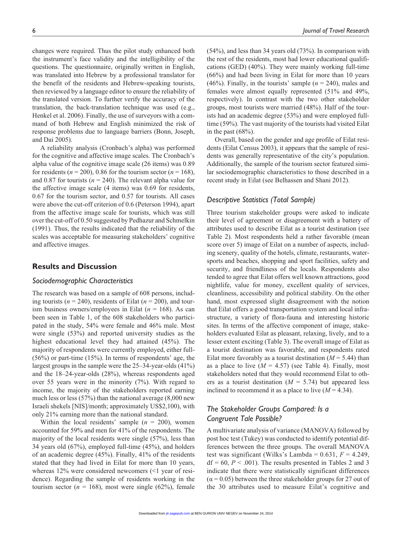changes were required. Thus the pilot study enhanced both the instrument's face validity and the intelligibility of the questions. The questionnaire, originally written in English, was translated into Hebrew by a professional translator for the benefit of the residents and Hebrew-speaking tourists, then reviewed by a language editor to ensure the reliability of the translated version. To further verify the accuracy of the translation, the back-translation technique was used (e.g., Henkel et al. 2006). Finally, the use of surveyors with a command of both Hebrew and English minimized the risk of response problems due to language barriers (Bonn, Joseph, and Dai 2005).

A reliability analysis (Cronbach's alpha) was performed for the cognitive and affective image scales. The Cronbach's alpha value of the cognitive image scale (26 items) was 0.89 for residents ( $n = 200$ ), 0.86 for the tourism sector ( $n = 168$ ), and 0.87 for tourists ( $n = 240$ ). The relevant alpha value for the affective image scale (4 items) was 0.69 for residents, 0.67 for the tourism sector, and 0.57 for tourists. All cases were above the cut-off criterion of 0.6 (Peterson 1994), apart from the affective image scale for tourists, which was still over the cut-off of 0.50 suggested by Pedhazur and Schmelkin (1991). Thus, the results indicated that the reliability of the scales was acceptable for measuring stakeholders' cognitive and affective images.

#### **Results and Discussion**

#### *Sociodemographic Characteristics*

The research was based on a sample of 608 persons, including tourists ( $n = 240$ ), residents of Eilat ( $n = 200$ ), and tourism business owners/employees in Eilat (*n* = 168). As can been seen in Table 1, of the 608 stakeholders who participated in the study, 54% were female and 46% male. Most were single (53%) and reported university studies as the highest educational level they had attained (45%). The majority of respondents were currently employed, either full- (56%) or part-time (15%). In terms of respondents' age, the largest groups in the sample were the 25–34-year-olds (41%) and the 18–24-year-olds (28%), whereas respondents aged over 55 years were in the minority (7%). With regard to income, the majority of the stakeholders reported earning much less or less (57%) than the national average (8,000 new Israeli shekels [NIS]/month; approximately US\$2,100), with only 21% earning more than the national standard.

Within the local residents' sample  $(n = 200)$ , women accounted for 59% and men for 41% of the respondents. The majority of the local residents were single (57%), less than 34 years old (67%), employed full-time (45%), and holders of an academic degree (45%). Finally, 41% of the residents stated that they had lived in Eilat for more than 10 years, whereas 12% were considered newcomers (<1 year of residence). Regarding the sample of residents working in the tourism sector ( $n = 168$ ), most were single (62%), female (54%), and less than 34 years old (73%). In comparison with the rest of the residents, most had lower educational qualifications (GED) (40%). They were mainly working full-time (66%) and had been living in Eilat for more than 10 years (46%). Finally, in the tourists' sample  $(n = 240)$ , males and females were almost equally represented (51% and 49%, respectively). In contrast with the two other stakeholder groups, most tourists were married (48%). Half of the tourists had an academic degree (53%) and were employed fulltime (59%). The vast majority of the tourists had visited Eilat in the past  $(68%)$ .

Overall, based on the gender and age profile of Eilat residents (Eilat Census 2003), it appears that the sample of residents was generally representative of the city's population. Additionally, the sample of the tourism sector featured similar sociodemographic characteristics to those described in a recent study in Eilat (see Belhassen and Shani 2012).

#### *Descriptive Statistics (Total Sample)*

Three tourism stakeholder groups were asked to indicate their level of agreement or disagreement with a battery of attributes used to describe Eilat as a tourist destination (see Table 2). Most respondents held a rather favorable (mean score over 5) image of Eilat on a number of aspects, including scenery, quality of the hotels, climate, restaurants, watersports and beaches, shopping and sport facilities, safety and security, and friendliness of the locals. Respondents also tended to agree that Eilat offers well known attractions, good nightlife, value for money, excellent quality of services, cleanliness, accessibility and political stability. On the other hand, most expressed slight disagreement with the notion that Eilat offers a good transportation system and local infrastructure, a variety of flora-fauna and interesting historic sites. In terms of the affective component of image, stakeholders evaluated Eilat as pleasant, relaxing, lively, and to a lesser extent exciting (Table 3). The overall image of Eilat as a tourist destination was favorable, and respondents rated Eilat more favorably as a tourist destination  $(M = 5.44)$  than as a place to live  $(M = 4.57)$  (see Table 4). Finally, most stakeholders noted that they would recommend Eilat to others as a tourist destination  $(M = 5.74)$  but appeared less inclined to recommend it as a place to live  $(M = 4.34)$ .

## *The Stakeholder Groups Compared: Is a Congruent Tale Possible?*

A multivariate analysis of variance (MANOVA) followed by post hoc test (Tukey) was conducted to identify potential differences between the three groups. The overall MANOVA test was significant (Wilks's Lambda =  $0.631$ ,  $F = 4.249$ ,  $df = 60$ ,  $P < .001$ ). The results presented in Tables 2 and 3 indicate that there were statistically significant differences  $(\alpha = 0.05)$  between the three stakeholder groups for 27 out of the 30 attributes used to measure Eilat's cognitive and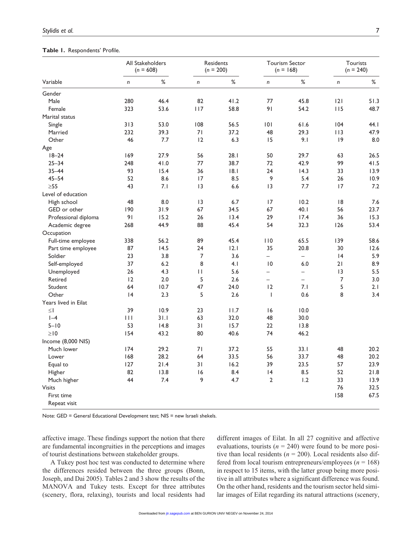#### **Table 1.** Respondents' Profile.

| Variable             | All Stakeholders<br>$(n = 608)$ |      | Residents<br>$(n = 200)$ |      | <b>Tourism Sector</b><br>$(n = 168)$ |                          | Tourists<br>$(n = 240)$ |       |
|----------------------|---------------------------------|------|--------------------------|------|--------------------------------------|--------------------------|-------------------------|-------|
|                      | n                               | $\%$ | $\boldsymbol{n}$         | $\%$ | $\boldsymbol{n}$                     | $\%$                     | n                       | $\%$  |
| Gender               |                                 |      |                          |      |                                      |                          |                         |       |
| Male                 | 280                             | 46.4 | 82                       | 41.2 | 77                                   | 45.8                     | 2                       | 51.3  |
| Female               | 323                             | 53.6 | 117                      | 58.8 | 91                                   | 54.2                     | 115                     | 48.7  |
| Marital status       |                                 |      |                          |      |                                      |                          |                         |       |
| Single               | 313                             | 53.0 | 108                      | 56.5 | 0                                    | 61.6                     | 104                     | 44. I |
| Married              | 232                             | 39.3 | 71                       | 37.2 | 48                                   | 29.3                     | 113                     | 47.9  |
| Other                | 46                              | 7.7  | 12                       | 6.3  | 15                                   | 9.1                      | 9                       | 8.0   |
| Age                  |                                 |      |                          |      |                                      |                          |                         |       |
| $18 - 24$            | 169                             | 27.9 | 56                       | 28.1 | 50                                   | 29.7                     | 63                      | 26.5  |
| $25 - 34$            | 248                             | 41.0 | 77                       | 38.7 | 72                                   | 42.9                     | 99                      | 41.5  |
| $35 - 44$            | 93                              | 15.4 | 36                       | 8.1  | 24                                   | 14.3                     | 33                      | 13.9  |
| $45 - 54$            | 52                              | 8.6  | 17                       | 8.5  | 9                                    | 5.4                      | 26                      | 10.9  |
| $\geq 55$            | 43                              | 7.1  | $\overline{13}$          | 6.6  | 3                                    | 7.7                      | 17                      | 7.2   |
| Level of education   |                                 |      |                          |      |                                      |                          |                         |       |
| High school          | 48                              | 8.0  | 3                        | 6.7  | 17                                   | 10.2                     | 18                      | 7.6   |
| GED or other         | 190                             | 31.9 | 67                       | 34.5 | 67                                   | 40.1                     | 56                      | 23.7  |
| Professional diploma | 91                              | 15.2 | 26                       | 13.4 | 29                                   | 17.4                     | 36                      | 15.3  |
| Academic degree      | 268                             | 44.9 | 88                       | 45.4 | 54                                   | 32.3                     | 126                     | 53.4  |
| Occupation           |                                 |      |                          |      |                                      |                          |                         |       |
| Full-time employee   | 338                             | 56.2 | 89                       | 45.4 | 110                                  | 65.5                     | 139                     | 58.6  |
| Part time employee   | 87                              | 14.5 | 24                       | 2.1  | 35                                   | 20.8                     | 30                      | 12.6  |
| Soldier              | 23                              | 3.8  | $\overline{7}$           | 3.6  | $\equiv$                             | $\equiv$                 | 4                       | 5.9   |
| Self-employed        | 37                              | 6.2  | 8                        | 4.1  | $\overline{0}$                       | 6.0                      | 21                      | 8.9   |
| Unemployed           | 26                              | 4.3  | $\mathbf{H}$             | 5.6  | $\equiv$                             | $\equiv$                 | 3                       | 5.5   |
| Retired              | 12                              | 2.0  | 5                        | 2.6  | $\equiv$                             | $\overline{\phantom{0}}$ | $\overline{7}$          | 3.0   |
| Student              | 64                              | 10.7 | 47                       | 24.0 | 12                                   | 7.1                      | 5                       | 2.1   |
| Other                | 4                               | 2.3  | 5                        | 2.6  | $\mathbf{I}$                         | 0.6                      | 8                       | 3.4   |
| Years lived in Eilat |                                 |      |                          |      |                                      |                          |                         |       |
| $\leq$               | 39                              | 10.9 | 23                       | 11.7 | 16                                   | 10.0                     |                         |       |
| $I - 4$              | $\mathbf{H}$                    | 31.1 | 63                       | 32.0 | 48                                   | 30.0                     |                         |       |
| $5 - 10$             | 53                              | 14.8 | 31                       | 15.7 | 22                                   | 13.8                     |                         |       |
| $\geq$ 10            | 154                             | 43.2 | 80                       | 40.6 | 74                                   | 46.2                     |                         |       |
| Income (8,000 NIS)   |                                 |      |                          |      |                                      |                          |                         |       |
| Much lower           | 174                             | 29.2 | 71                       | 37.2 | 55                                   | 33.1                     | 48                      | 20.2  |
| Lower                | 168                             | 28.2 | 64                       | 33.5 | 56                                   | 33.7                     | 48                      | 20.2  |
| Equal to             | 127                             | 21.4 | 31                       | 16.2 | 39                                   | 23.5                     | 57                      | 23.9  |
| Higher               | 82                              | 13.8 | 16                       | 8.4  | 4                                    | 8.5                      | 52                      | 21.8  |
| Much higher          | 44                              | 7.4  | 9                        | 4.7  | $\overline{2}$                       | 1.2                      | 33                      | 13.9  |
| <b>Visits</b>        |                                 |      |                          |      |                                      |                          | 76                      | 32.5  |
| First time           |                                 |      |                          |      |                                      |                          | 158                     | 67.5  |
| Repeat visit         |                                 |      |                          |      |                                      |                          |                         |       |

Note: GED = General Educational Development test; NIS = new Israeli shekels.

affective image. These findings support the notion that there are fundamental incongruities in the perceptions and images of tourist destinations between stakeholder groups.

A Tukey post hoc test was conducted to determine where the differences resided between the three groups (Bonn, Joseph, and Dai 2005). Tables 2 and 3 show the results of the MANOVA and Tukey tests. Except for three attributes (scenery, flora, relaxing), tourists and local residents had

different images of Eilat. In all 27 cognitive and affective evaluations, tourists  $(n = 240)$  were found to be more positive than local residents  $(n = 200)$ . Local residents also differed from local tourism entrepreneurs/employees (*n* = 168) in respect to 15 items, with the latter group being more positive in all attributes where a significant difference was found. On the other hand, residents and the tourism sector held similar images of Eilat regarding its natural attractions (scenery,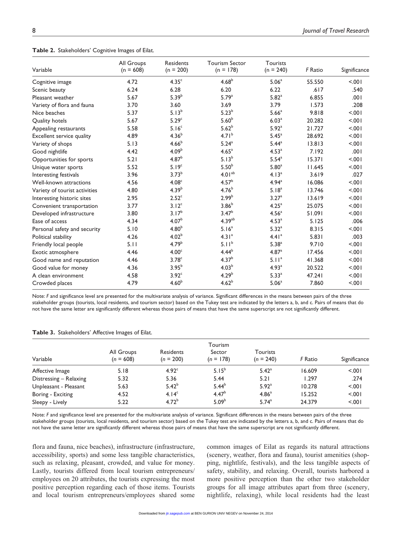**Table 2.** Stakeholders' Cognitive Images of Eilat.

|                               | All Groups  | <b>Residents</b>  | <b>Tourism Sector</b> | <b>Tourists</b>   |         |              |
|-------------------------------|-------------|-------------------|-----------------------|-------------------|---------|--------------|
| Variable                      | $(n = 608)$ | $(n = 200)$       | $(n = 178)$           | $(n = 240)$       | F Ratio | Significance |
| Cognitive image               | 4.72        | 4.35 <sup>c</sup> | 4.68 <sup>b</sup>     | 5.06 <sup>a</sup> | 55.550  | < .001       |
| Scenic beauty                 | 6.24        | 6.28              | 6.20                  | 6.22              | .617    | .540         |
| Pleasant weather              | 5.67        | $5.39^{b}$        | 5.79 <sup>a</sup>     | $5.82^{a}$        | 6.855   | .001         |
| Variety of flora and fauna    | 3.70        | 3.60              | 3.69                  | 3.79              | 1.573   | .208         |
| Nice beaches                  | 5.37        | $5.13^{b}$        | $5.23^{b}$            | 5.66 <sup>a</sup> | 9.818   | < .001       |
| Quality hotels                | 5.67        | 5.29 <sup>c</sup> | $5.60^{b}$            | 6.03 <sup>a</sup> | 20.282  | < 0.001      |
| Appealing restaurants         | 5.58        | 5.16 <sup>c</sup> | 5.62 <sup>b</sup>     | 5.92 <sup>a</sup> | 21.727  | < .001       |
| Excellent service quality     | 4.89        | $4.36^{b}$        | 4.71 <sup>b</sup>     | 5.45 <sup>a</sup> | 28.692  | < .001       |
| Variety of shops              | 5.13        | 4.66 <sup>b</sup> | $5.24^{a}$            | 5.44 <sup>a</sup> | 13.813  | < .001       |
| Good nightlife                | 4.42        | 4.09 <sup>b</sup> | 4.65 <sup>a</sup>     | 4.53 <sup>a</sup> | 7.192   | .001         |
| Opportunities for sports      | 5.21        | $4.87^{b}$        | $5.13^{b}$            | 5.54 <sup>a</sup> | 15.371  | < .001       |
| Unique water sports           | 5.52        | 5.19 <sup>c</sup> | $5.50^{b}$            | 5.80 <sup>a</sup> | 11.645  | < .001       |
| Interesting festivals         | 3.96        | $3.73^{b}$        | 4.01 <sup>ab</sup>    | 4.13 <sup>a</sup> | 3.619   | .027         |
| Well-known attractions        | 4.56        | 4.08 <sup>c</sup> | $4.57^{b}$            | 4.94 <sup>a</sup> | 16.086  | < .001       |
| Variety of tourist activities | 4.80        | 4.39 <sup>b</sup> | 4.76 <sup>b</sup>     | 5.18 <sup>a</sup> | 13.746  | < .001       |
| Interesting historic sites    | 2.95        | 2.52 <sup>c</sup> | 2.99 <sup>b</sup>     | 3.27 <sup>a</sup> | 13.619  | < .001       |
| Convenient transportation     | 3.77        | 3.12 <sup>c</sup> | 3.86 <sup>b</sup>     | 4.25 <sup>a</sup> | 25.075  | < .001       |
| Developed infrastructure      | 3.80        | 3.17 <sup>b</sup> | 3.47 <sup>b</sup>     | 4.56 <sup>a</sup> | 51.091  | < .001       |
| Ease of access                | 4.34        | 4.07 <sup>b</sup> | 4.39 <sup>ab</sup>    | 4.53 <sup>a</sup> | 5.125   | .006         |
| Personal safety and security  | 5.10        | 4.80 <sup>b</sup> | 5.16 <sup>a</sup>     | $5.32^{a}$        | 8.315   | < .001       |
| Political stability           | 4.26        | 4.02 <sup>b</sup> | 4.31 <sup>a</sup>     | 4.41 <sup>a</sup> | 5.831   | .003         |
| Friendly local people         | 5.11        | 4.79 <sup>b</sup> | 5.11 <sup>b</sup>     | $5.38^{a}$        | 9.710   | < 0.01       |
| Exotic atmosphere             | 4.46        | 4.00 <sup>c</sup> | $4.44^{b}$            | 4.87 <sup>a</sup> | 17.456  | < .001       |
| Good name and reputation      | 4.46        | 3.78 <sup>c</sup> | 4.37 <sup>b</sup>     | 5.11 <sup>a</sup> | 41.368  | < 0.001      |
| Good value for money          | 4.36        | $3.95^{b}$        | 4.03 <sup>b</sup>     | 4.93 <sup>a</sup> | 20.522  | < .001       |
| A clean environment           | 4.58        | 3.92 <sup>c</sup> | 4.29 <sup>b</sup>     | 5.33 <sup>a</sup> | 47.241  | < .001       |
| Crowded places                | 4.79        | 4.60 <sup>b</sup> | $4.62^{b}$            | 5.06 <sup>a</sup> | 7.860   | < 0.001      |

Note: *F* and significance level are presented for the multivariate analysis of variance. Significant differences in the means between pairs of the three stakeholder groups (tourists, local residents, and tourism sector) based on the Tukey test are indicated by the letters a, b, and c. Pairs of means that do not have the same letter are significantly different whereas those pairs of means that have the same superscript are not significantly different.

|  | Table 3. Stakeholders' Affective Images of Eilat. |  |  |  |  |
|--|---------------------------------------------------|--|--|--|--|
|--|---------------------------------------------------|--|--|--|--|

| Variable               | All Groups<br>$(n = 608)$ | Residents<br>$(n = 200)$ | Tourism<br>Sector<br>$(n = 178)$ | Tourists<br>$(n = 240)$ | F Ratio | Significance |
|------------------------|---------------------------|--------------------------|----------------------------------|-------------------------|---------|--------------|
| Affective Image        | 5.18                      | 4.92 <sup>c</sup>        | $5.15^{b}$                       | $5.42^{\circ}$          | 16.609  | < 0.01       |
| Distressing - Relaxing | 5.32                      | 5.36                     | 5.44                             | 5.21                    | 1.297   | .274         |
| Unpleasant - Pleasant  | 5.63                      | $5.42^{b}$               | $5.44^{b}$                       | 5.92 <sup>a</sup>       | 10.278  | < 0.001      |
| Boring - Exciting      | 4.52                      | 4.14 <sup>c</sup>        | 4.47 <sup>b</sup>                | 4.86 <sup>a</sup>       | 15.252  | < 0.001      |
| Sleepy - Lively        | 5.22                      | 4.72 <sup>b</sup>        | 5.09 <sup>b</sup>                | $5.74^{a}$              | 24.379  | < 0.01       |

Note: *F* and significance level are presented for the multivariate analysis of variance. Significant differences in the means between pairs of the three stakeholder groups (tourists, local residents, and tourism sector) based on the Tukey test are indicated by the letters a, b, and c. Pairs of means that do not have the same letter are significantly different whereas those pairs of means that have the same superscript are not significantly different.

flora and fauna, nice beaches), infrastructure (infrastructure, accessibility, sports) and some less tangible characteristics, such as relaxing, pleasant, crowded, and value for money. Lastly, tourists differed from local tourism entrepreneurs/ employees on 20 attributes, the tourists expressing the most positive perception regarding each of those items. Tourists and local tourism entrepreneurs/employees shared some

common images of Eilat as regards its natural attractions (scenery, weather, flora and fauna), tourist amenities (shopping, nightlife, festivals), and the less tangible aspects of safety, stability, and relaxing. Overall, tourists harbored a more positive perception than the other two stakeholder groups for all image attributes apart from three (scenery, nightlife, relaxing), while local residents had the least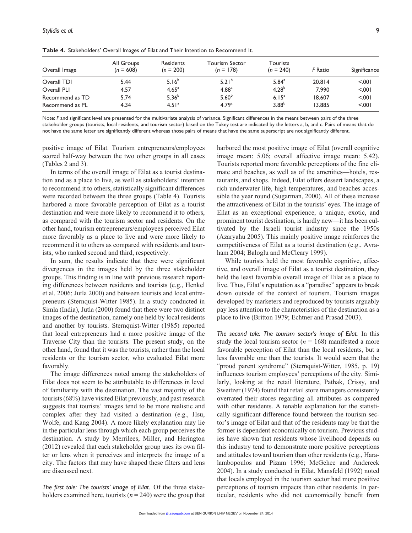| Overall Image   | All Groups<br>$(n = 608)$ | Residents<br>$(n = 200)$ | Tourism Sector<br>$(n = 178)$ | Tourists<br>$(n = 240)$ | F Ratio | Significance |
|-----------------|---------------------------|--------------------------|-------------------------------|-------------------------|---------|--------------|
| Overall TDI     | 5.44                      | $5.16^{b}$               | $5.21^{b}$                    | $5.84^{a}$              | 20.814  | 5.001        |
| Overall PLI     | 4.57                      | 4.65 <sup>a</sup>        | $4.88^{a}$                    | $4.28^{b}$              | 7.990   | < 0.01       |
| Recommend as TD | 5.74                      | $5.36^{b}$               | 5.60 <sup>b</sup>             | $6.15^{a}$              | 18.607  | < 0.01       |
| Recommend as PL | 4.34                      | 4.51 <sup>a</sup>        | 4.79 <sup>a</sup>             | $3.88^{b}$              | 13.885  | 5.001        |

**Table 4.** Stakeholders' Overall Images of Eilat and Their Intention to Recommend It.

Note: F and significant level are presented for the multivariate analysis of variance. Significant differences in the means between pairs of the three stakeholder groups (tourists, local residents, and tourism sector) based on the Tukey test are indicated by the letters a, b, and c. Pairs of means that do not have the same letter are significantly different whereas those pairs of means that have the same superscript are not significantly different.

positive image of Eilat. Tourism entrepreneurs/employees scored half-way between the two other groups in all cases (Tables 2 and 3).

In terms of the overall image of Eilat as a tourist destination and as a place to live, as well as stakeholders' intention to recommend it to others, statistically significant differences were recorded between the three groups (Table 4). Tourists harbored a more favorable perception of Eilat as a tourist destination and were more likely to recommend it to others, as compared with the tourism sector and residents. On the other hand, tourism entrepreneurs/employees perceived Eilat more favorably as a place to live and were more likely to recommend it to others as compared with residents and tourists, who ranked second and third, respectively.

In sum, the results indicate that there were significant divergences in the images held by the three stakeholder groups. This finding is in line with previous research reporting differences between residents and tourists (e.g., Henkel et al. 2006; Jutla 2000) and between tourists and local entrepreneurs (Sternquist-Witter 1985). In a study conducted in Simla (India), Jutla (2000) found that there were two distinct images of the destination, namely one held by local residents and another by tourists. Sternquist-Witter (1985) reported that local entrepreneurs had a more positive image of the Traverse City than the tourists. The present study, on the other hand, found that it was the tourists, rather than the local residents or the tourism sector, who evaluated Eilat more favorably.

The image differences noted among the stakeholders of Eilat does not seem to be attributable to differences in level of familiarity with the destination. The vast majority of the tourists (68%) have visited Eilat previously, and past research suggests that tourists' images tend to be more realistic and complex after they had visited a destination (e.g., Hsu, Wolfe, and Kang 2004). A more likely explanation may lie in the particular lens through which each group perceives the destination. A study by Merrilees, Miller, and Herington (2012) revealed that each stakeholder group uses its own filter or lens when it perceives and interprets the image of a city. The factors that may have shaped these filters and lens are discussed next.

*The first tale: The tourists' image of Eilat.* Of the three stakeholders examined here, tourists  $(n = 240)$  were the group that harbored the most positive image of Eilat (overall cognitive image mean: 5.06; overall affective image mean: 5.42). Tourists reported more favorable perceptions of the fine climate and beaches, as well as of the amenities—hotels, restaurants, and shops. Indeed, Eilat offers dessert landscapes, a rich underwater life, high temperatures, and beaches accessible the year round (Sugarman, 2000). All of these increase the attractiveness of Eilat in the tourists' eyes. The image of Eilat as an exceptional experience, a unique, exotic, and prominent tourist destination, is hardly new—it has been cultivated by the Israeli tourist industry since the 1950s (Azaryahu 2005). This mainly positive image reinforces the competitiveness of Eilat as a tourist destination (e.g., Avraham 2004; Baloglu and McCleary 1999).

While tourists held the most favorable cognitive, affective, and overall image of Eilat as a tourist destination, they held the least favorable overall image of Eilat as a place to live. Thus, Eilat's reputation as a "paradise" appears to break down outside of the context of tourism. Tourism images developed by marketers and reproduced by tourists arguably pay less attention to the characteristics of the destination as a place to live (Britton 1979; Echtner and Prasad 2003).

*The second tale: The tourism sector's image of Eilat.* In this study the local tourism sector  $(n = 168)$  manifested a more favorable perception of Eilat than the local residents, but a less favorable one than the tourists. It would seem that the "proud parent syndrome" (Sternquist-Witter, 1985, p. 19) influences tourism employees' perceptions of the city. Similarly, looking at the retail literature, Pathak, Crissy, and Sweitzer (1974) found that retail store managers consistently overrated their stores regarding all attributes as compared with other residents. A tenable explanation for the statistically significant difference found between the tourism sector's image of Eilat and that of the residents may be that the former is dependent economically on tourism. Previous studies have shown that residents whose livelihood depends on this industry tend to demonstrate more positive perceptions and attitudes toward tourism than other residents (e.g., Haralambopoulos and Pizam 1996; McGehee and Andereck 2004). In a study conducted in Eilat, Mansfeld (1992) noted that locals employed in the tourism sector had more positive perceptions of tourism impacts than other residents. In particular, residents who did not economically benefit from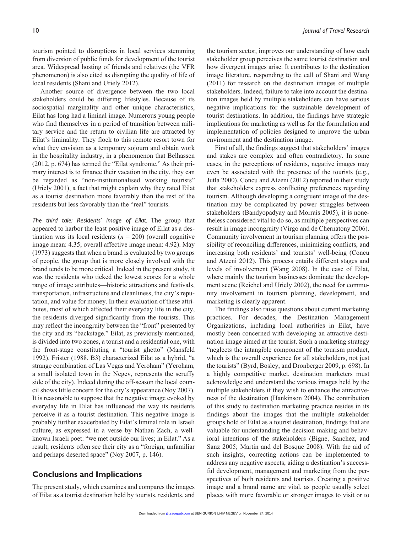tourism pointed to disruptions in local services stemming from diversion of public funds for development of the tourist area. Widespread hosting of friends and relatives (the VFR phenomenon) is also cited as disrupting the quality of life of local residents (Shani and Uriely 2012).

Another source of divergence between the two local stakeholders could be differing lifestyles. Because of its sociospatial marginality and other unique characteristics, Eilat has long had a liminal image. Numerous young people who find themselves in a period of transition between military service and the return to civilian life are attracted by Eilat's liminality. They flock to this remote resort town for what they envision as a temporary sojourn and obtain work in the hospitality industry, in a phenomenon that Belhassen (2012, p. 674) has termed the "Eilat syndrome." As their primary interest is to finance their vacation in the city, they can be regarded as "non-institutionalised working tourists" (Uriely 2001), a fact that might explain why they rated Eilat as a tourist destination more favorably than the rest of the residents but less favorably than the "real" tourists.

*The third tale: Residents' image of Eilat.* The group that appeared to harbor the least positive image of Eilat as a destination was its local residents  $(n = 200)$  (overall cognitive image mean: 4.35; overall affective image mean: 4.92). May (1973) suggests that when a brand is evaluated by two groups of people, the group that is more closely involved with the brand tends to be more critical. Indeed in the present study, it was the residents who ticked the lowest scores for a whole range of image attributes—historic attractions and festivals, transportation, infrastructure and cleanliness, the city's reputation, and value for money. In their evaluation of these attributes, most of which affected their everyday life in the city, the residents diverged significantly from the tourists. This may reflect the incongruity between the "front" presented by the city and its "backstage." Eilat, as previously mentioned, is divided into two zones, a tourist and a residential one, with the front-stage constituting a "tourist ghetto" (Mansfeld 1992). Frister (1988, B3) characterized Eilat as a hybrid, "a strange combination of Las Vegas and Yeroham" (Yeroham, a small isolated town in the Negev, represents the scruffy side of the city). Indeed during the off-season the local council shows little concern for the city's appearance (Noy 2007). It is reasonable to suppose that the negative image evoked by everyday life in Eilat has influenced the way its residents perceive it as a tourist destination. This negative image is probably further exacerbated by Eilat's liminal role in Israeli culture, as expressed in a verse by Nathan Zach, a wellknown Israeli poet: "we met outside our lives; in Eilat." As a result, residents often see their city as a "foreign, unfamiliar and perhaps deserted space" (Noy 2007, p. 146).

#### **Conclusions and Implications**

The present study, which examines and compares the images of Eilat as a tourist destination held by tourists, residents, and

the tourism sector, improves our understanding of how each stakeholder group perceives the same tourist destination and how divergent images arise. It contributes to the destination image literature, responding to the call of Shani and Wang (2011) for research on the destination images of multiple stakeholders. Indeed, failure to take into account the destination images held by multiple stakeholders can have serious negative implications for the sustainable development of tourist destinations. In addition, the findings have strategic implications for marketing as well as for the formulation and implementation of policies designed to improve the urban environment and the destination image.

First of all, the findings suggest that stakeholders' images and stakes are complex and often contradictory. In some cases, in the perceptions of residents, negative images may even be associated with the presence of the tourists (e.g., Jutla 2000). Concu and Atzeni (2012) reported in their study that stakeholders express conflicting preferences regarding tourism. Although developing a congruent image of the destination may be complicated by power struggles between stakeholders (Bandyopadyay and Morrais 2005), it is nonetheless considered vital to do so, as multiple perspectives can result in image incongruity (Virgo and de Chernatony 2006). Community involvement in tourism planning offers the possibility of reconciling differences, minimizing conflicts, and increasing both residents' and tourists' well-being (Concu and Atzeni 2012). This process entails different stages and levels of involvement (Wang 2008). In the case of Eilat, where mainly the tourism businesses dominate the development scene (Reichel and Uriely 2002), the need for community involvement in tourism planning, development, and marketing is clearly apparent.

The findings also raise questions about current marketing practices. For decades, the Destination Management Organizations, including local authorities in Eilat, have mostly been concerned with developing an attractive destination image aimed at the tourist. Such a marketing strategy "neglects the intangible component of the tourism product, which is the overall experience for all stakeholders, not just the tourists" (Byrd, Bosley, and Dronberger 2009, p. 698). In a highly competitive market, destination marketers must acknowledge and understand the various images held by the multiple stakeholders if they wish to enhance the attractiveness of the destination (Hankinson 2004). The contribution of this study to destination marketing practice resides in its findings about the images that the multiple stakeholder groups hold of Eilat as a tourist destination, findings that are valuable for understanding the decision making and behavioral intentions of the stakeholders (Bigne, Sanchez, and Sanz 2005; Martin and del Bosque 2008). With the aid of such insights, correcting actions can be implemented to address any negative aspects, aiding a destination's successful development, management and marketing from the perspectives of both residents and tourists. Creating a positive image and a brand name are vital, as people usually select places with more favorable or stronger images to visit or to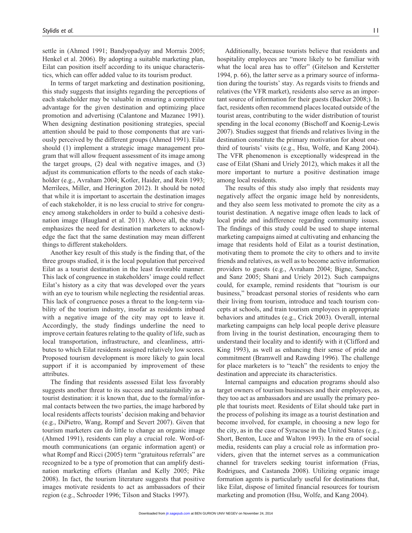settle in (Ahmed 1991; Bandyopadyay and Morrais 2005; Henkel et al. 2006). By adopting a suitable marketing plan, Eilat can position itself according to its unique characteristics, which can offer added value to its tourism product.

In terms of target marketing and destination positioning, this study suggests that insights regarding the perceptions of each stakeholder may be valuable in ensuring a competitive advantage for the given destination and optimizing place promotion and advertising (Calantone and Mazanec 1991). When designing destination positioning strategies, special attention should be paid to those components that are variously perceived by the different groups (Ahmed 1991). Eilat should (1) implement a strategic image management program that will allow frequent assessment of its image among the target groups, (2) deal with negative images, and (3) adjust its communication efforts to the needs of each stakeholder (e.g., Avraham 2004; Kotler, Haider, and Rein 1993; Merrilees, Miller, and Herington 2012). It should be noted that while it is important to ascertain the destination images of each stakeholder, it is no less crucial to strive for congruency among stakeholders in order to build a cohesive destination image (Haugland et al. 2011). Above all, the study emphasizes the need for destination marketers to acknowledge the fact that the same destination may mean different things to different stakeholders.

Another key result of this study is the finding that, of the three groups studied, it is the local population that perceived Eilat as a tourist destination in the least favorable manner. This lack of congruence in stakeholders' image could reflect Eilat's history as a city that was developed over the years with an eye to tourism while neglecting the residential areas. This lack of congruence poses a threat to the long-term viability of the tourism industry, insofar as residents imbued with a negative image of the city may opt to leave it. Accordingly, the study findings underline the need to improve certain features relating to the quality of life, such as local transportation, infrastructure, and cleanliness, attributes to which Eilat residents assigned relatively low scores. Proposed tourism development is more likely to gain local support if it is accompanied by improvement of these attributes.

The finding that residents assessed Eilat less favorably suggests another threat to its success and sustainability as a tourist destination: it is known that, due to the formal/informal contacts between the two parties, the image harbored by local residents affects tourists' decision making and behavior (e.g., DiPietro, Wang, Rompf and Severt 2007). Given that tourism marketers can do little to change an organic image (Ahmed 1991), residents can play a crucial role. Word-ofmouth communications (an organic information agent) or what Rompf and Ricci (2005) term "gratuitous referrals" are recognized to be a type of promotion that can amplify destination marketing efforts (Hanlan and Kelly 2005; Pike 2008). In fact, the tourism literature suggests that positive images motivate residents to act as ambassadors of their region (e.g., Schroeder 1996; Tilson and Stacks 1997).

Additionally, because tourists believe that residents and hospitality employees are "more likely to be familiar with what the local area has to offer" (Gitelson and Kerstetter 1994, p. 66), the latter serve as a primary source of information during the tourists' stay. As regards visits to friends and relatives (the VFR market), residents also serve as an important source of information for their guests (Backer 2008;). In fact, residents often recommend places located outside of the tourist areas, contributing to the wider distribution of tourist spending in the local economy (Bischoff and Koenig-Lewis 2007). Studies suggest that friends and relatives living in the destination constitute the primary motivation for about onethird of tourists' visits (e.g., Hsu, Wolfe, and Kang 2004). The VFR phenomenon is exceptionally widespread in the case of Eilat (Shani and Uriely 2012), which makes it all the more important to nurture a positive destination image among local residents.

The results of this study also imply that residents may negatively affect the organic image held by nonresidents, and they also seem less motivated to promote the city as a tourist destination. A negative image often leads to lack of local pride and indifference regarding community issues. The findings of this study could be used to shape internal marketing campaigns aimed at cultivating and enhancing the image that residents hold of Eilat as a tourist destination, motivating them to promote the city to others and to invite friends and relatives, as well as to become active information providers to guests (e.g., Avraham 2004; Bigne, Sanchez, and Sanz 2005; Shani and Uriely 2012). Such campaigns could, for example, remind residents that "tourism is our business," broadcast personal stories of residents who earn their living from tourism, introduce and teach tourism concepts at schools, and train tourism employees in appropriate behaviors and attitudes (e.g., Crick 2003). Overall, internal marketing campaigns can help local people derive pleasure from living in the tourist destination, encouraging them to understand their locality and to identify with it (Clifford and King 1993), as well as enhancing their sense of pride and commitment (Bramwell and Rawding 1996). The challenge for place marketers is to "teach" the residents to enjoy the destination and appreciate its characteristics.

Internal campaigns and education programs should also target owners of tourism businesses and their employees, as they too act as ambassadors and are usually the primary people that tourists meet. Residents of Eilat should take part in the process of polishing its image as a tourist destination and become involved, for example, in choosing a new logo for the city, as in the case of Syracuse in the United States (e.g., Short, Benton, Luce and Walton 1993). In the era of social media, residents can play a crucial role as information providers, given that the internet serves as a communication channel for travelers seeking tourist information (Frias, Rodrigues, and Castaneda 2008). Utilizing organic image formation agents is particularly useful for destinations that, like Eilat, dispose of limited financial resources for tourism marketing and promotion (Hsu, Wolfe, and Kang 2004).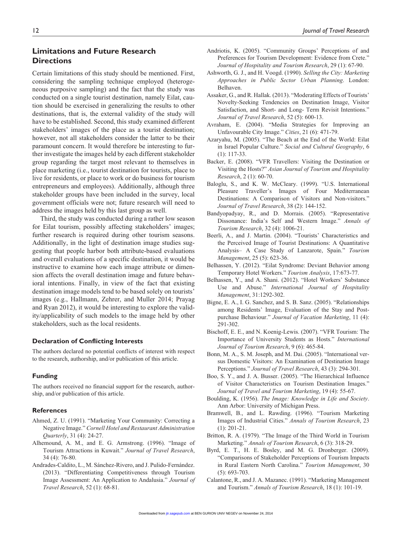## **Limitations and Future Research Directions**

Certain limitations of this study should be mentioned. First, considering the sampling technique employed (heterogeneous purposive sampling) and the fact that the study was conducted on a single tourist destination, namely Eilat, caution should be exercised in generalizing the results to other destinations, that is, the external validity of the study will have to be established. Second, this study examined different stakeholders' images of the place as a tourist destination; however, not all stakeholders consider the latter to be their paramount concern. It would therefore be interesting to further investigate the images held by each different stakeholder group regarding the target most relevant to themselves in place marketing (i.e., tourist destination for tourists, place to live for residents, or place to work or do business for tourism entrepreneurs and employees). Additionally, although three stakeholder groups have been included in the survey, local government officials were not; future research will need to address the images held by this last group as well.

Third, the study was conducted during a rather low season for Eilat tourism, possibly affecting stakeholders' images; further research is required during other tourism seasons. Additionally, in the light of destination image studies suggesting that people harbor both attribute-based evaluations and overall evaluations of a specific destination, it would be instructive to examine how each image attribute or dimension affects the overall destination image and future behavioral intentions. Finally, in view of the fact that existing destination image models tend to be based solely on tourists' images (e.g., Hallmann, Zehrer, and Muller 2014; Prayag and Ryan 2012), it would be interesting to explore the validity/applicability of such models to the image held by other stakeholders, such as the local residents.

#### **Declaration of Conflicting Interests**

The authors declared no potential conflicts of interest with respect to the research, authorship, and/or publication of this article.

#### **Funding**

The authors received no financial support for the research, authorship, and/or publication of this article.

#### **References**

- Ahmed, Z. U. (1991). "Marketing Your Community: Correcting a Negative Image." *Cornell Hotel and Restaurant Administration Quarterly*, 31 (4): 24-27.
- Alhemound, A. M., and E. G. Armstrong. (1996). "Image of Tourism Attractions in Kuwait." *Journal of Travel Research*, 34 (4): 76-80.
- Andrades-Caldito, L., M. Sánchez-Rivero, and J. Pulido-Fernández. (2013). "Differentiating Competitiveness through Tourism Image Assessment: An Application to Andalusia." *Journal of Travel Research*, 52 (1): 68-81.
- Andriotis, K. (2005). "Community Groups' Perceptions of and Preferences for Tourism Development: Evidence from Crete." *Journal of Hospitality and Tourism Research*, 29 (1): 67-90.
- Ashworth, G. J., and H. Voogd. (1990). *Selling the City: Marketing Approaches in Public Sector Urban Planning*. London: Belhaven.
- Assaker, G., and R. Hallak. (2013). "Moderating Effects of Tourists' Novelty-Seeking Tendencies on Destination Image, Visitor Satisfaction, and Short- and Long- Term Revisit Intentions." *Journal of Travel Research*, 52 (5): 600-13.
- Avraham, E. (2004). "Media Strategies for Improving an Unfavourable City Image." *Cities*, 21 (6): 471-79.
- Azaryahu, M. (2005). "The Beach at the End of the World: Eilat in Israel Popular Culture." *Social and Cultural Geography*, 6 (1): 117-33.
- Backer, E. (2008). "VFR Travellers: Visiting the Destination or Visiting the Hosts?" *Asian Journal of Tourism and Hospitality Research*, 2 (1): 60-70.
- Baloglu, S., and K. W. McCleary. (1999). "U.S. International Pleasure Traveller's Images of Four Mediterranean Destinations: A Comparison of Visitors and Non-visitors." *Journal of Travel Research*, 38 (2): 144-152.
- Bandyopadyay, R., and D. Morrais. (2005). "Representative Dissonance: India's Self and Western Image." *Annals of Tourism Research*, 32 (4): 1006-21.
- Beerli, A., and J. Martin. (2004). "Tourists' Characteristics and the Perceived Image of Tourist Destinations: A Quantitative Analysis– A Case Study of Lanzarote, Spain." *Tourism Management*, 25 (5): 623-36.
- Belhassen, Y. (2012). "Eilat Syndrome: Deviant Behavior among Temporary Hotel Workers." *Tourism Analysis*, 17:673-77.
- Belhassen, Y., and A. Shani. (2012). "Hotel Workers' Substance Use and Abuse." *International Journal of Hospitality Management*, 31:1292-302.
- Bigne, E. A., I. G. Sanchez, and S. B. Sanz. (2005). "Relationships among Residents' Image, Evaluation of the Stay and Postpurchase Behaviour." *Journal of Vacation Marketing*, 11 (4): 291-302.
- Bischoff, E. E., and N. Koenig-Lewis. (2007). "VFR Tourism: The Importance of University Students as Hosts." *International Journal of Tourism Research*, 9 (6): 465-84.
- Bonn, M. A., S. M. Joseph, and M. Dai. (2005). "International versus Domestic Visitors: An Examination of Destination Image Perceptions." *Journal of Travel Research*, 43 (3): 294-301.
- Boo, S. Y., and J. A. Busser. (2005). "The Hierarchical Influence of Visitor Characteristics on Tourism Destination Images." *Journal of Travel and Tourism Marketing*, 19 (4): 55-67.
- Boulding, K. (1956). *The Image: Knowledge in Life and Society*. Ann Arbor: University of Michigan Press.
- Bramwell, B., and L. Rawding. (1996). "Tourism Marketing Images of Industrial Cities." *Annals of Tourism Research*, 23 (1): 201-21.
- Britton, R. A. (1979). "The Image of the Third World in Tourism Marketing." *Annals of Tourism Research*, 6 (3): 318-29.
- Byrd, E. T., H. E. Bosley, and M. G. Dronberger. (2009). "Comparisons of Stakeholder Perceptions of Tourism Impacts in Rural Eastern North Carolina." *Tourism Management*, 30 (5): 693-703.
- Calantone, R., and J. A. Mazanec. (1991). "Marketing Management and Tourism." *Annals of Tourism Research*, 18 (1): 101-19.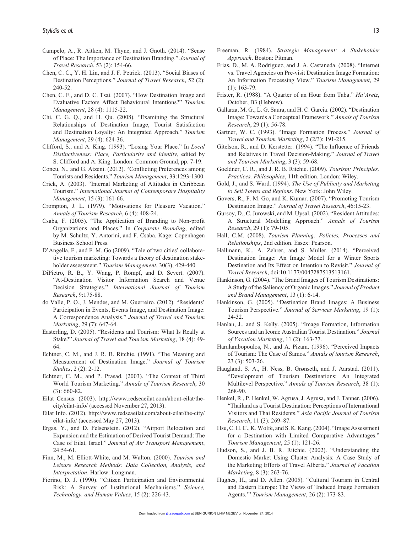- Campelo, A., R. Aitken, M. Thyne, and J. Gnoth. (2014). "Sense of Place: The Importance of Destination Branding." *Journal of Travel Research*, 53 (2): 154-66.
- Chen, C. C., Y. H. Lin, and J. F. Petrick. (2013). "Social Biases of Destination Perceptions." *Journal of Travel Research*, 52 (2): 240-52.
- Chen, C. F., and D. C. Tsai. (2007). "How Destination Image and Evaluative Factors Affect Behavioural Intentions?" *Tourism Management*, 28 (4): 1115-22.
- Chi, C. G. Q., and H. Qu. (2008). "Examining the Structural Relationships of Destination Image, Tourist Satisfaction and Destination Loyalty: An Integrated Approach." *Tourism Management*, 29 (4): 624-36.
- Clifford, S., and A. King. (1993). "Losing Your Place." In *Local Distinctiveness: Place, Particularity and Identity*, edited by S. Clifford and A. King. London: Common Ground, pp. 7-19.
- Concu, N., and G. Atzeni. (2012). "Conflicting Preferences among Tourists and Residents." *Tourism Management*, 33:1293-1300.
- Crick, A. (2003). "Internal Marketing of Attitudes in Caribbean Tourism." *International Journal of Contemporary Hospitality Management*, 15 (3): 161-66.
- Crompton, J. L. (1979). "Motivations for Pleasure Vacation." *Annals of Tourism Research*, 6 (4): 408-24.
- Csaba, F. (2005). "The Application of Branding to Non-profit Organizations and Places." In *Corporate Branding*, edited by M. Schultz, Y. Antorini, and F. Csaba. Kage: Copenhagen Business School Press.
- D'Angella, F., and F. M. Go (2009). "Tale of two cities' collaborative tourism marketing: Towards a theory of destination stakeholder assessment." *Tourism Management*, 30(3), 429-440
- DiPietro, R. B., Y. Wang, P. Rompf, and D. Severt. (2007). "At-Destination Visitor Information Search and Venue Decision Strategies." *International Journal of Tourism Research*, 9:175-88.
- do Valle, P. O., J. Mendes, and M. Guerreiro. (2012). "Residents' Participation in Events, Events Image, and Destination Image: A Correspondence Analysis." *Journal of Travel and Tourism Marketing*, 29 (7): 647-64.
- Easterling, D. (2005). "Residents and Tourism: What Is Really at Stake?" *Journal of Travel and Tourism Marketing*, 18 (4): 49- 64.
- Echtner, C. M., and J. R. B. Ritchie. (1991). "The Meaning and Measurement of Destination Image." *Journal of Tourism Studies*, 2 (2): 2-12.
- Echtner, C. M., and P. Prasad. (2003). "The Context of Third World Tourism Marketing." *Annals of Tourism Research*, 30 (3): 660-82.
- Eilat Census. (2003). http://www.redseaeilat.com/about-eilat/thecity/eilat-info/ (accessed November 27, 2013).
- Eilat Info. (2012). http://www.redseaeilat.com/about-eilat/the-city/ eilat-info/ (accessed May 27, 2013).
- Ergas, Y., and D. Felsenstein. (2012). "Airport Relocation and Expansion and the Estimation of Derived Tourist Demand: The Case of Eilat, Israel." *Journal of Air Transport Management*, 24:54-61.
- Finn, M., M. Elliott-White, and M. Walton. (2000). *Tourism and Leisure Research Methods: Data Collection, Analysis, and Interpretation*. Harlow: Longman.
- Fiorino, D. J. (1990). "Citizen Participation and Environmental Risk: A Survey of Institutional Mechanisms." *Science, Technology, and Human Values*, 15 (2): 226-43.
- Freeman, R. (1984). *Strategic Management: A Stakeholder Approach*. Boston: Pitman.
- Frias, D., M. A. Rodriguez, and J. A. Castaneda. (2008). "Internet vs. Travel Agencies on Pre-visit Destination Image Formation: An Information Processing View." *Tourism Management*, 29 (1): 163-79.
- Frister, R. (1988). "A Quarter of an Hour from Taba." *Ha'Aretz*, October, B3 (Hebrew).
- Gallarza, M. G., L. G. Saura, and H. C. Garcia. (2002). "Destination Image: Towards a Conceptual Framework." *Annals of Tourism Research*, 29 (1): 56-78.
- Gartner, W. C. (1993). "Image Formation Process." *Journal of Travel and Tourism Marketing*, 2 (2/3): 191-215.
- Gitelson, R., and D. Kerstetter. (1994). "The Influence of Friends and Relatives in Travel Decision-Making." *Journal of Travel and Tourism Marketing*, 3 (3): 59-68.
- Goeldner, C. R., and J. R. B. Ritchie. (2009). *Tourism: Principles, Practices, Philosophies*, 11th edition. London: Wiley.
- Gold, J., and S. Ward. (1994). *The Use of Publicity and Marketing to Sell Towns and Regions*. New York: John Wiley.
- Govers, R., F. M. Go, and K. Kumar. (2007). "Promoting Tourism Destination Image." *Journal of Travel Research*, 46:15-23.
- Gursoy, D., C. Jurowski, and M. Uysal. (2002). "Resident Attitudes: A Structural Modelling Approach." *Annals of Tourism Research*, 29 (1): 79-105.
- Hall, C.M. (2008). *Tourism Planning: Policies, Processes and Relationships*, 2nd edition. Essex: Pearson.
- Hallmann, K., A. Zehrer, and S. Muller. (2014). "Perceived Destination Image: An Image Model for a Winter Sports Destination and Its Effect on Intention to Revisit." *Journal of Travel Research*, doi:10.1177/0047287513513161.
- Hankinson, G. (2004). "The Brand Images of Tourism Destinations: A Study of the Saliency of Organic Images." *Journal of Product and Brand Management*, 13 (1): 6-14.
- Hankinson, G. (2005). "Destination Brand Images: A Business Tourism Perspective." *Journal of Services Marketing*, 19 (1): 24-32.
- Hanlan, J., and S. Kelly. (2005). "Image Formation, Information Sources and an Iconic Australian Tourist Destination." *Journal of Vacation Marketing*, 11 (2): 163-77.
- Haralambopoulos, N., and A. Pizam. (1996). "Perceived Impacts of Tourism: The Case of Samos." *Annals of tourism Research*, 23 (3): 503-26.
- Haugland, S. A., H. Ness, B. Grønseth, and J. Aarstad. (2011). "Development of Tourism Destinations: An Integrated Multilevel Perspective." *Annals of Tourism Research*, 38 (1): 268-90.
- Henkel, R., P. Henkel, W. Agrusa, J. Agrusa, and J. Tanner. (2006). "Thailand as a Tourist Destination: Perceptions of International Visitors and Thai Residents." *Asia Pacific Journal of Tourism Research*, 11 (3): 269–87.
- Hsu, C. H. C., K. Wolfe, and S. K. Kang. (2004). "Image Assessment for a Destination with Limited Comparative Advantages." *Tourism Management*, 25 (1): 121-26.
- Hudson, S., and J. B. R. Ritchie. (2002). "Understanding the Domestic Market Using Cluster Analysis: A Case Study of the Marketing Efforts of Travel Alberta." *Journal of Vacation Marketing*, 8 (3): 263-76.
- Hughes, H., and D. Allen. (2005). "Cultural Tourism in Central and Eastern Europe: The Views of 'Induced Image Formation Agents.'" *Tourism Management*, 26 (2): 173-83.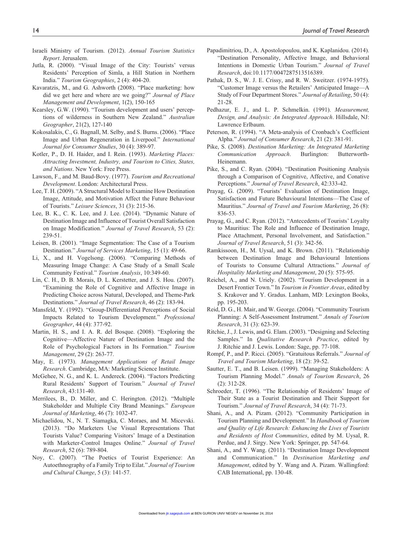- Israeli Ministry of Tourism. (2012). *Annual Tourism Statistics Report*. Jerusalem.
- Jutla, R. (2000). "Visual Image of the City: Tourists' versus Residents' Perception of Simla, a Hill Station in Northern India." *Tourism Geographies*, 2 (4): 404-20.
- Kavaratzis, M., and G. Ashworth (2008). "Place marketing: how did we get here and where are we going?" *Journal of Place Management and Development*, 1(2), 150-165
- Kearsley, G.W. (1990). "Tourism development and users' perceptions of wilderness in Southern New Zealand." *Australian Geographer*, 21(2), 127-140
- Kokosalakis, C., G. Bagnall, M. Selby, and S. Burns. (2006). "Place Image and Urban Regeneration in Liverpool." *International Journal for Consumer Studies*, 30 (4): 389-97.
- Kotler, P., D. H. Haider, and I. Rein. (1993). *Marketing Places: Attracting Investment, Industry, and Tourism to Cities, States, and Nations*. New York: Free Press.
- Lawson, F., and M. Baud-Bovy. (1977). *Tourism and Recreational Development*. London: Architectural Press.
- Lee, T. H. (2009). "A Structural Model to Examine How Destination Image, Attitude, and Motivation Affect the Future Behaviour of Tourists." *Leisure Sciences*, 31 (3): 215-36.
- Lee, B. K., C. K. Lee, and J. Lee. (2014). "Dynamic Nature of Destination Image and Influence of Tourist Overall Satisfaction on Image Modification." *Journal of Travel Research*, 53 (2): 239-51.
- Leisen, B. (2001). "Image Segmentation: The Case of a Tourism Destination." *Journal of Services Marketing*, 15 (1): 49-66.
- Li, X., and H. Vogelsong. (2006). "Comparing Methods of Measuring Image Change: A Case Study of a Small Scale Community Festival." *Tourism Analysis*, 10:349-60.
- Lin, C. H., D. B. Morais, D. L. Kerstetter, and J. S. Hou. (2007). "Examining the Role of Cognitive and Affective Image in Predicting Choice across Natural, Developed, and Theme-Park Destinations." *Journal of Travel Research*, 46 (2): 183-94.
- Mansfeld, Y. (1992). "Group-Differentiated Perceptions of Social Impacts Related to Tourism Development." *Professional Geographer*, 44 (4): 377-92.
- Martin, H. S., and I. A. R. del Bosque. (2008). "Exploring the Cognitive—Affective Nature of Destination Image and the Role of Psychological Factors in Its Formation." *Tourism Management*, 29 (2): 263-77.
- May, E. (1973). *Management Applications of Retail Image Research*. Cambridge, MA: Marketing Science Institute.
- McGehee, N. G., and K. L. Andereck. (2004). "Factors Predicting Rural Residents' Support of Tourism." *Journal of Travel Research*, 43:131-40.
- Merrilees, B., D. Miller, and C. Herington. (2012). "Multiple Stakeholder and Multiple City Brand Meanings." *European Journal of Marketing*, 46 (7): 1032-47.
- Michaelidou, N., N. T. Siamagka, C. Moraes, and M. Micevski. (2013). "Do Marketers Use Visual Representations That Tourists Value? Comparing Visitors' Image of a Destination with Marketer-Control Images Online." *Journal of Travel Research*, 52 (6): 789-804.
- Noy, C. (2007). "The Poetics of Tourist Experience: An Autoethnography of a Family Trip to Eilat." *Journal of Tourism and Cultural Change*, 5 (3): 141-57.
- Papadimitriou, D., A. Apostolopoulou, and K. Kaplanidou. (2014). "Destination Personality, Affective Image, and Behavioral Intentions in Domestic Urban Tourism." *Journal of Travel Research*, doi:10.1177/0047287513516389.
- Pathak, D. S., W. J. E. Crissy, and R. W. Sweitzer. (1974-1975). "Customer Image versus the Retailers' Anticipated Image—A Study of Four Department Stores." *Journal of Retailing*, 50 (4): 21-28.
- Pedhazur, E. J., and L. P. Schmelkin. (1991). *Measurement, Design, and Analysis: An Integrated Approach*. Hillsdale, NJ: Lawrence Erlbaum.
- Peterson, R. (1994). "A Meta-analysis of Cronbach's Coefficient Alpha." *Journal of Consumer Research*, 21 (2): 381-91.
- Pike, S. (2008). *Destination Marketing: An Integrated Marketing Communication Approach*. Burlington: Butterworth-Heinemann.
- Pike, S., and C. Ryan. (2004). "Destination Positioning Analysis through a Comparison of Cognitive, Affective, and Conative Perceptions." *Journal of Travel Research*, 42:333-42.
- Prayag, G. (2009). "Tourists' Evaluation of Destination Image, Satisfaction and Future Behavioural Intentions—The Case of Mauritius." *Journal of Travel and Tourism Marketing*, 26 (8): 836-53.
- Prayag, G., and C. Ryan. (2012). "Antecedents of Tourists' Loyalty to Mauritius: The Role and Influence of Destination Image, Place Attachment, Personal Involvement, and Satisfaction." *Journal of Travel Research*, 51 (3): 342-56.
- Ramkissoon, H., M. Uysal, and K. Brown. (2011). "Relationship between Destination Image and Behavioural Intentions of Tourists to Consume Cultural Attractions." *Journal of Hospitality Marketing and Management*, 20 (5): 575-95.
- Reichel, A., and N. Uriely. (2002). "Tourism Development in a Desert Frontier Town." In *Tourism in Frontier Areas*, edited by S. Krakover and Y. Gradus. Lanham, MD: Lexington Books, pp. 195-203.
- Reid, D. G., H. Mair, and W. George. (2004). "Community Tourism Planning: A Self-Assessment Instrument." *Annals of Tourism Research*, 31 (3): 623-39.
- Ritchie, J., J. Lewis, and G. Elam. (2003). "Designing and Selecting Samples." In *Qualitative Research Practice*, edited by J. Ritchie and J. Lewis. London: Sage, pp. 77-108.
- Rompf, P., and P. Ricci. (2005). "Gratuitous Referrals." *Journal of Travel and Tourism Marketing*, 18 (2): 39-52.
- Sautter, E. T., and B. Leisen. (1999). "Managing Stakeholders: A Tourism Planning Model." *Annals of Tourism Research*, 26 (2): 312-28.
- Schroeder, T. (1996). "The Relationship of Residents' Image of Their State as a Tourist Destination and Their Support for Tourism." *Journal of Travel Research*, 34 (4): 71-73.
- Shani, A., and A. Pizam. (2012). "Community Participation in Tourism Planning and Development." In *Handbook of Tourism and Quality of Life Research: Enhancing the Lives of Tourists and Residents of Host Communities*, edited by M. Uysal, R. Perdue, and J. Sirgy. New York: Springer, pp. 547-64.
- Shani, A., and Y. Wang. (2011). "Destination Image Development and Communication." In *Destination Marketing and Management*, edited by Y. Wang and A. Pizam. Wallingford: CAB International, pp. 130-48.